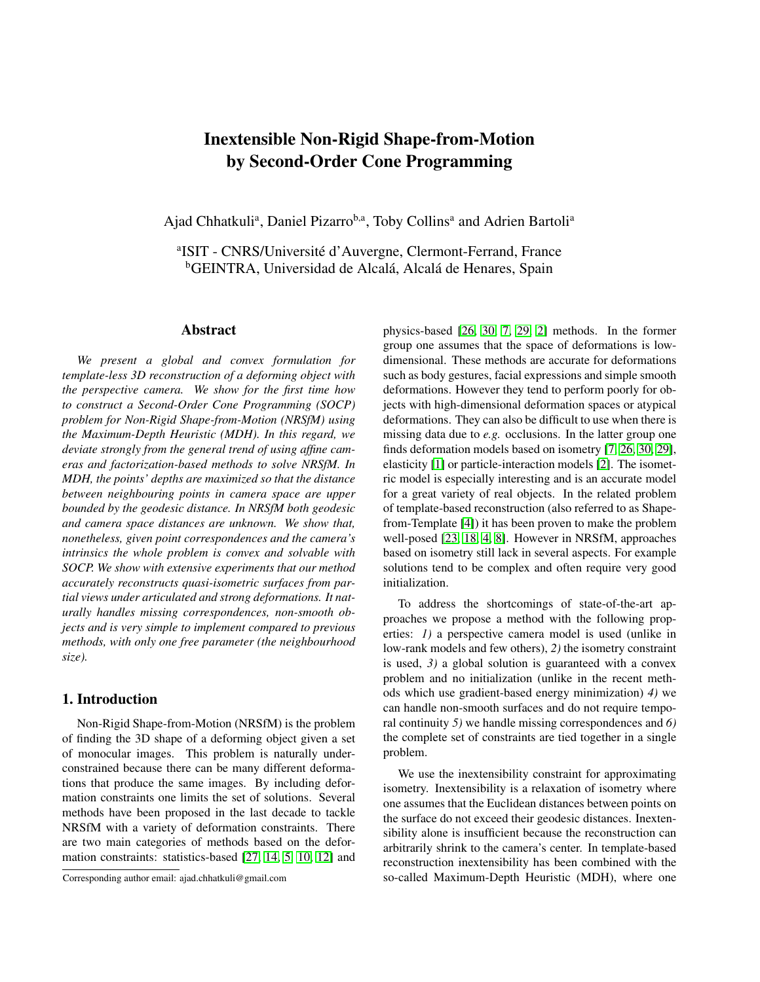# Inextensible Non-Rigid Shape-from-Motion by Second-Order Cone Programming

Ajad Chhatkuli<sup>a</sup>, Daniel Pizarro<sup>b,a</sup>, Toby Collins<sup>a</sup> and Adrien Bartoli<sup>a</sup>

<sup>a</sup>ISIT - CNRS/Université d'Auvergne, Clermont-Ferrand, France <sup>b</sup>GEINTRA, Universidad de Alcalá, Alcalá de Henares, Spain

## Abstract

*We present a global and convex formulation for template-less 3D reconstruction of a deforming object with the perspective camera. We show for the first time how to construct a Second-Order Cone Programming (SOCP) problem for Non-Rigid Shape-from-Motion (NRSfM) using the Maximum-Depth Heuristic (MDH). In this regard, we deviate strongly from the general trend of using affine cameras and factorization-based methods to solve NRSfM. In MDH, the points' depths are maximized so that the distance between neighbouring points in camera space are upper bounded by the geodesic distance. In NRSfM both geodesic and camera space distances are unknown. We show that, nonetheless, given point correspondences and the camera's intrinsics the whole problem is convex and solvable with SOCP. We show with extensive experiments that our method accurately reconstructs quasi-isometric surfaces from partial views under articulated and strong deformations. It naturally handles missing correspondences, non-smooth objects and is very simple to implement compared to previous methods, with only one free parameter (the neighbourhood size).*

# 1. Introduction

Non-Rigid Shape-from-Motion (NRSfM) is the problem of finding the 3D shape of a deforming object given a set of monocular images. This problem is naturally underconstrained because there can be many different deformations that produce the same images. By including deformation constraints one limits the set of solutions. Several methods have been proposed in the last decade to tackle NRSfM with a variety of deformation constraints. There are two main categories of methods based on the deformation constraints: statistics-based [\[27,](#page-8-0) [14,](#page-8-1) [5,](#page-8-2) [10,](#page-8-3) [12\]](#page-8-4) and physics-based [\[26,](#page-8-5) [30,](#page-8-6) [7,](#page-8-7) [29,](#page-8-8) [2\]](#page-8-9) methods. In the former group one assumes that the space of deformations is lowdimensional. These methods are accurate for deformations such as body gestures, facial expressions and simple smooth deformations. However they tend to perform poorly for objects with high-dimensional deformation spaces or atypical deformations. They can also be difficult to use when there is missing data due to *e.g.* occlusions. In the latter group one finds deformation models based on isometry [\[7,](#page-8-7) [26,](#page-8-5) [30,](#page-8-6) [29\]](#page-8-8), elasticity [\[1\]](#page-8-10) or particle-interaction models [\[2\]](#page-8-9). The isometric model is especially interesting and is an accurate model for a great variety of real objects. In the related problem of template-based reconstruction (also referred to as Shapefrom-Template [\[4\]](#page-8-11)) it has been proven to make the problem well-posed [\[23,](#page-8-12) [18,](#page-8-13) [4,](#page-8-11) [8\]](#page-8-14). However in NRSfM, approaches based on isometry still lack in several aspects. For example solutions tend to be complex and often require very good initialization.

To address the shortcomings of state-of-the-art approaches we propose a method with the following properties: *1)* a perspective camera model is used (unlike in low-rank models and few others), *2)* the isometry constraint is used, *3)* a global solution is guaranteed with a convex problem and no initialization (unlike in the recent methods which use gradient-based energy minimization) *4)* we can handle non-smooth surfaces and do not require temporal continuity *5)* we handle missing correspondences and *6)* the complete set of constraints are tied together in a single problem.

We use the inextensibility constraint for approximating isometry. Inextensibility is a relaxation of isometry where one assumes that the Euclidean distances between points on the surface do not exceed their geodesic distances. Inextensibility alone is insufficient because the reconstruction can arbitrarily shrink to the camera's center. In template-based reconstruction inextensibility has been combined with the so-called Maximum-Depth Heuristic (MDH), where one

Corresponding author email: ajad.chhatkuli@gmail.com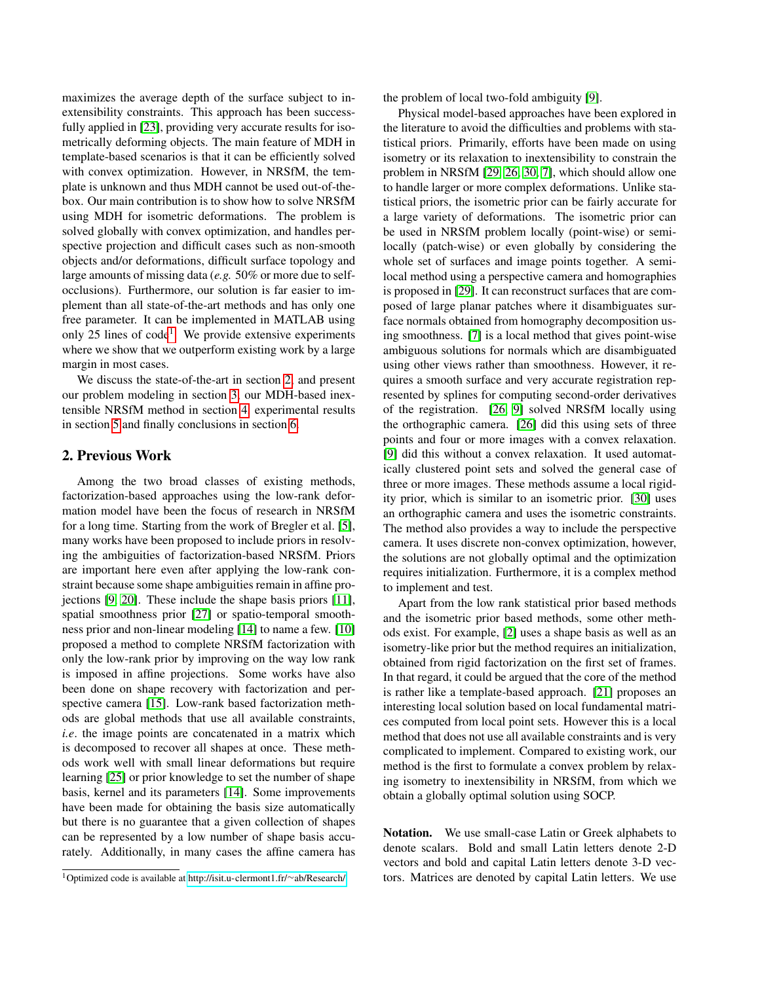maximizes the average depth of the surface subject to inextensibility constraints. This approach has been successfully applied in [\[23\]](#page-8-12), providing very accurate results for isometrically deforming objects. The main feature of MDH in template-based scenarios is that it can be efficiently solved with convex optimization. However, in NRSfM, the template is unknown and thus MDH cannot be used out-of-thebox. Our main contribution is to show how to solve NRSfM using MDH for isometric deformations. The problem is solved globally with convex optimization, and handles perspective projection and difficult cases such as non-smooth objects and/or deformations, difficult surface topology and large amounts of missing data (*e.g.* 50% or more due to selfocclusions). Furthermore, our solution is far easier to implement than all state-of-the-art methods and has only one free parameter. It can be implemented in MATLAB using only 25 lines of code<sup>[1](#page-1-0)</sup>. We provide extensive experiments where we show that we outperform existing work by a large margin in most cases.

We discuss the state-of-the-art in section [2,](#page-1-1) and present our problem modeling in section [3,](#page-2-0) our MDH-based inextensible NRSfM method in section [4,](#page-2-1) experimental results in section [5](#page-3-0) and finally conclusions in section [6.](#page-7-0)

# <span id="page-1-1"></span>2. Previous Work

Among the two broad classes of existing methods, factorization-based approaches using the low-rank deformation model have been the focus of research in NRSfM for a long time. Starting from the work of Bregler et al. [\[5\]](#page-8-2), many works have been proposed to include priors in resolving the ambiguities of factorization-based NRSfM. Priors are important here even after applying the low-rank constraint because some shape ambiguities remain in affine projections [\[9,](#page-8-15) [20\]](#page-8-16). These include the shape basis priors [\[11\]](#page-8-17), spatial smoothness prior [\[27\]](#page-8-0) or spatio-temporal smoothness prior and non-linear modeling [\[14\]](#page-8-1) to name a few. [\[10\]](#page-8-3) proposed a method to complete NRSfM factorization with only the low-rank prior by improving on the way low rank is imposed in affine projections. Some works have also been done on shape recovery with factorization and perspective camera [\[15\]](#page-8-18). Low-rank based factorization methods are global methods that use all available constraints, *i.e*. the image points are concatenated in a matrix which is decomposed to recover all shapes at once. These methods work well with small linear deformations but require learning [\[25\]](#page-8-19) or prior knowledge to set the number of shape basis, kernel and its parameters [\[14\]](#page-8-1). Some improvements have been made for obtaining the basis size automatically but there is no guarantee that a given collection of shapes can be represented by a low number of shape basis accurately. Additionally, in many cases the affine camera has

the problem of local two-fold ambiguity [\[9\]](#page-8-15).

Physical model-based approaches have been explored in the literature to avoid the difficulties and problems with statistical priors. Primarily, efforts have been made on using isometry or its relaxation to inextensibility to constrain the problem in NRSfM [\[29,](#page-8-8) [26,](#page-8-5) [30,](#page-8-6) [7\]](#page-8-7), which should allow one to handle larger or more complex deformations. Unlike statistical priors, the isometric prior can be fairly accurate for a large variety of deformations. The isometric prior can be used in NRSfM problem locally (point-wise) or semilocally (patch-wise) or even globally by considering the whole set of surfaces and image points together. A semilocal method using a perspective camera and homographies is proposed in [\[29\]](#page-8-8). It can reconstruct surfaces that are composed of large planar patches where it disambiguates surface normals obtained from homography decomposition using smoothness. [\[7\]](#page-8-7) is a local method that gives point-wise ambiguous solutions for normals which are disambiguated using other views rather than smoothness. However, it requires a smooth surface and very accurate registration represented by splines for computing second-order derivatives of the registration. [\[26,](#page-8-5) [9\]](#page-8-15) solved NRSfM locally using the orthographic camera. [\[26\]](#page-8-5) did this using sets of three points and four or more images with a convex relaxation. [\[9\]](#page-8-15) did this without a convex relaxation. It used automatically clustered point sets and solved the general case of three or more images. These methods assume a local rigidity prior, which is similar to an isometric prior. [\[30\]](#page-8-6) uses an orthographic camera and uses the isometric constraints. The method also provides a way to include the perspective camera. It uses discrete non-convex optimization, however, the solutions are not globally optimal and the optimization requires initialization. Furthermore, it is a complex method to implement and test.

Apart from the low rank statistical prior based methods and the isometric prior based methods, some other methods exist. For example, [\[2\]](#page-8-9) uses a shape basis as well as an isometry-like prior but the method requires an initialization, obtained from rigid factorization on the first set of frames. In that regard, it could be argued that the core of the method is rather like a template-based approach. [\[21\]](#page-8-20) proposes an interesting local solution based on local fundamental matrices computed from local point sets. However this is a local method that does not use all available constraints and is very complicated to implement. Compared to existing work, our method is the first to formulate a convex problem by relaxing isometry to inextensibility in NRSfM, from which we obtain a globally optimal solution using SOCP.

Notation. We use small-case Latin or Greek alphabets to denote scalars. Bold and small Latin letters denote 2-D vectors and bold and capital Latin letters denote 3-D vectors. Matrices are denoted by capital Latin letters. We use

<span id="page-1-0"></span><sup>1</sup>Optimized code is available at [http://isit.u-clermont1.fr/](http://isit.u-clermont1.fr/~ab/Research/)∼ab/Research/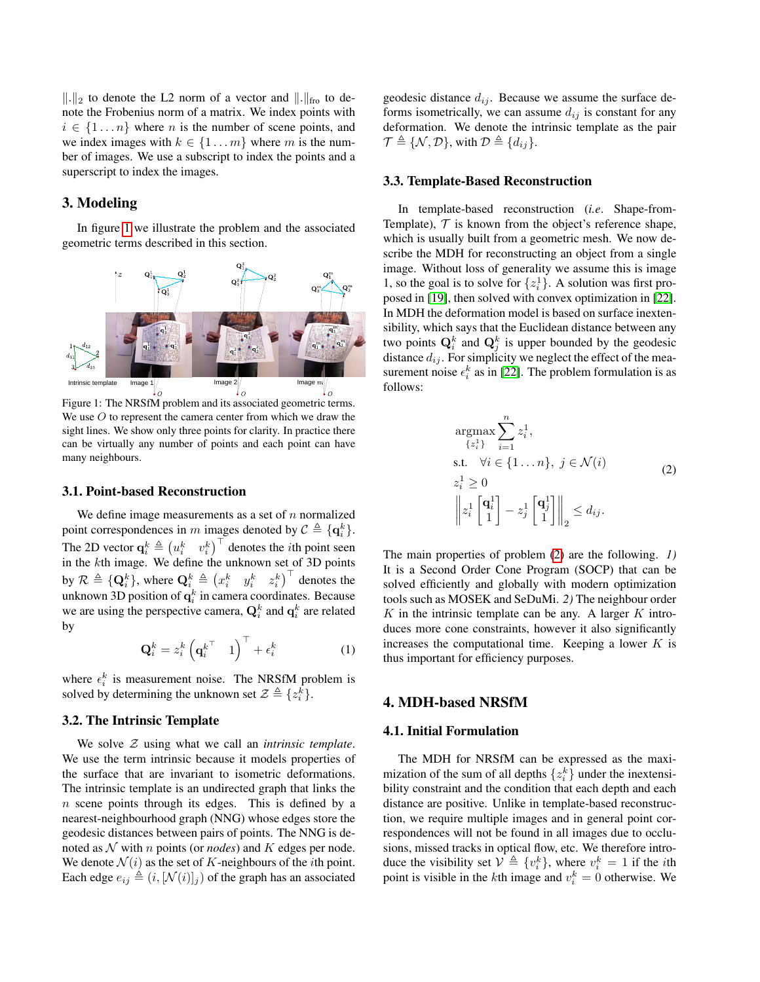$\Vert . \Vert_2$  to denote the L2 norm of a vector and  $\Vert . \Vert_{\text{fro}}$  to denote the Frobenius norm of a matrix. We index points with  $i \in \{1 \dots n\}$  where *n* is the number of scene points, and we index images with  $k \in \{1 \dots m\}$  where m is the number of images. We use a subscript to index the points and a superscript to index the images.

# <span id="page-2-0"></span>3. Modeling

In figure [1](#page-2-2) we illustrate the problem and the associated geometric terms described in this section.

<span id="page-2-2"></span>

Figure 1: The NRSfM problem and its associated geometric terms. We use  $O$  to represent the camera center from which we draw the sight lines. We show only three points for clarity. In practice there can be virtually any number of points and each point can have many neighbours.

#### 3.1. Point-based Reconstruction

We define image measurements as a set of  $n$  normalized point correspondences in m images denoted by  $C \triangleq \{\mathbf{q}_i^k\}.$ The 2D vector  $\mathbf{q}_i^k \triangleq (u_i^k - v_i^k)^\top$  denotes the *i*th point seen in the  $k$ th image. We define the unknown set of 3D points by  $\mathcal{R} \triangleq \{\mathbf{Q}_i^k\},$  where  $\mathbf{Q}_i^k \triangleq \begin{pmatrix} x_i^k & y_i^k & z_i^k \end{pmatrix}^\top$  denotes the unknown 3D position of  $\mathbf{q}^k_i$  in camera coordinates. Because we are using the perspective camera,  $\mathbf{Q}_i^k$  and  $\mathbf{q}_i^k$  are related by

$$
\mathbf{Q}_i^k = z_i^k \left( \mathbf{q}_i^{k^\top} \quad 1 \right)^\top + \epsilon_i^k \tag{1}
$$

where  $\epsilon_i^k$  is measurement noise. The NRSfM problem is solved by determining the unknown set  $\mathcal{Z} \triangleq \{z_i^{\overline{k}}\}.$ 

# 3.2. The Intrinsic Template

We solve Z using what we call an *intrinsic template*. We use the term intrinsic because it models properties of the surface that are invariant to isometric deformations. The intrinsic template is an undirected graph that links the  $n$  scene points through its edges. This is defined by a nearest-neighbourhood graph (NNG) whose edges store the geodesic distances between pairs of points. The NNG is denoted as  $N$  with n points (or *nodes*) and K edges per node. We denote  $\mathcal{N}(i)$  as the set of K-neighbours of the *i*th point. Each edge  $e_{ij} \triangleq (i, [\mathcal{N}(i)]_j)$  of the graph has an associated

geodesic distance  $d_{ij}$ . Because we assume the surface deforms isometrically, we can assume  $d_{ij}$  is constant for any deformation. We denote the intrinsic template as the pair  $\mathcal{T} \triangleq \{ \mathcal{N}, \mathcal{D} \},$  with  $\mathcal{D} \triangleq \{ d_{ij} \}.$ 

#### 3.3. Template-Based Reconstruction

In template-based reconstruction (*i.e*. Shape-from-Template),  $T$  is known from the object's reference shape, which is usually built from a geometric mesh. We now describe the MDH for reconstructing an object from a single image. Without loss of generality we assume this is image 1, so the goal is to solve for  $\{z_i^1\}$ . A solution was first proposed in [\[19\]](#page-8-21), then solved with convex optimization in [\[22\]](#page-8-22). In MDH the deformation model is based on surface inextensibility, which says that the Euclidean distance between any two points  $\mathbf{Q}_i^k$  and  $\mathbf{Q}_j^k$  is upper bounded by the geodesic distance  $d_{ij}$ . For simplicity we neglect the effect of the measurement noise  $\epsilon_i^k$  as in [\[22\]](#page-8-22). The problem formulation is as follows:

<span id="page-2-3"></span>
$$
\underset{\{z_i\}}{\operatorname{argmax}} \sum_{i=1}^{n} z_i^1,
$$
\n
$$
\text{s.t. } \forall i \in \{1 \dots n\}, \ j \in \mathcal{N}(i)
$$
\n
$$
z_i^1 \ge 0
$$
\n
$$
\left\| z_i^1 \begin{bmatrix} \mathbf{q}_i^1 \\ 1 \end{bmatrix} - z_j^1 \begin{bmatrix} \mathbf{q}_j^1 \\ 1 \end{bmatrix} \right\|_2 \le d_{ij}.
$$
\n
$$
(2)
$$

The main properties of problem [\(2\)](#page-2-3) are the following. *1)* It is a Second Order Cone Program (SOCP) that can be solved efficiently and globally with modern optimization tools such as MOSEK and SeDuMi. *2)* The neighbour order  $K$  in the intrinsic template can be any. A larger  $K$  introduces more cone constraints, however it also significantly increases the computational time. Keeping a lower  $K$  is thus important for efficiency purposes.

# <span id="page-2-1"></span>4. MDH-based NRSfM

## 4.1. Initial Formulation

The MDH for NRSfM can be expressed as the maximization of the sum of all depths  $\{z_i^k\}$  under the inextensibility constraint and the condition that each depth and each distance are positive. Unlike in template-based reconstruction, we require multiple images and in general point correspondences will not be found in all images due to occlusions, missed tracks in optical flow, etc. We therefore introduce the visibility set  $V \triangleq \{v_i^k\}$ , where  $v_i^k = 1$  if the *i*th point is visible in the *k*th image and  $v_i^k = 0$  otherwise. We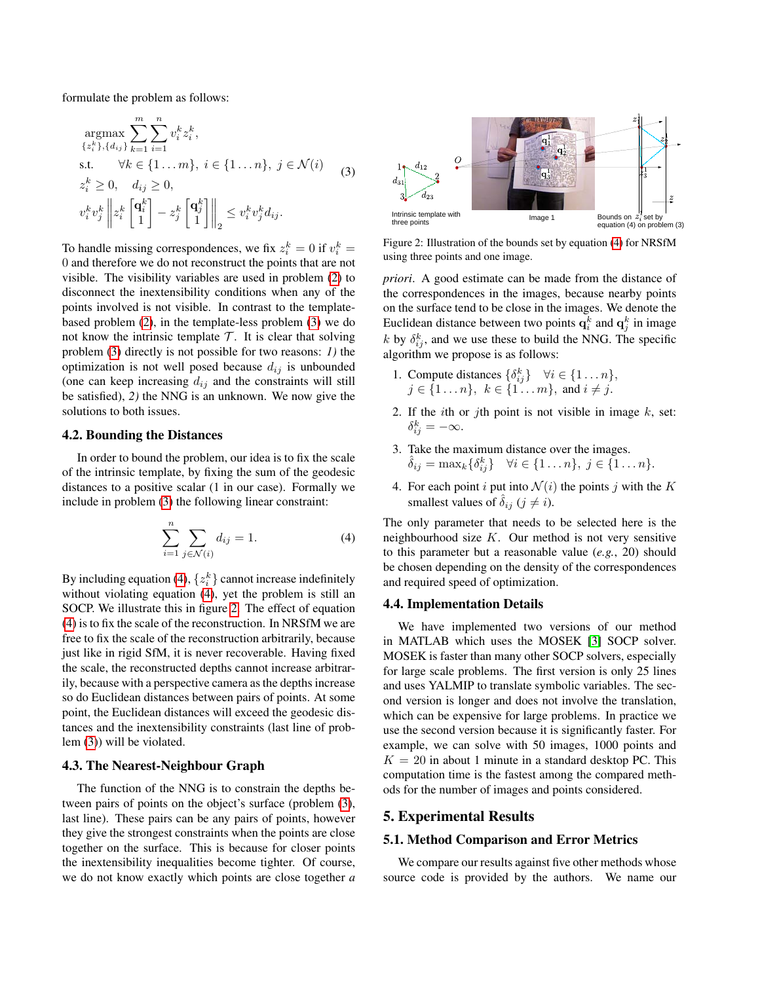formulate the problem as follows:

$$
\underset{\{z_{i}^{k}\},\{d_{ij}\}}{\operatorname{argmax}} \sum_{k=1}^{m} \sum_{i=1}^{n} v_{i}^{k} z_{i}^{k},
$$
\ns.t.  $\forall k \in \{1...m\}, i \in \{1...n\}, j \in \mathcal{N}(i)$   
\n
$$
z_{i}^{k} \geq 0, \quad d_{ij} \geq 0,
$$
\n
$$
v_{i}^{k} v_{j}^{k} \left\| z_{i}^{k} \begin{bmatrix} \mathbf{q}_{i}^{k} \\ 1 \end{bmatrix} - z_{j}^{k} \begin{bmatrix} \mathbf{q}_{j}^{k} \\ 1 \end{bmatrix} \right\|_{2} \leq v_{i}^{k} v_{j}^{k} d_{ij}.
$$
\n(3)

To handle missing correspondences, we fix  $z_i^k = 0$  if  $v_i^k =$ 0 and therefore we do not reconstruct the points that are not visible. The visibility variables are used in problem [\(2\)](#page-2-3) to disconnect the inextensibility conditions when any of the points involved is not visible. In contrast to the templatebased problem [\(2\)](#page-2-3), in the template-less problem [\(3\)](#page-3-1) we do not know the intrinsic template  $\mathcal T$ . It is clear that solving problem [\(3\)](#page-3-1) directly is not possible for two reasons: *1)* the optimization is not well posed because  $d_{ij}$  is unbounded (one can keep increasing  $d_{ij}$  and the constraints will still be satisfied), *2)* the NNG is an unknown. We now give the solutions to both issues.

#### 4.2. Bounding the Distances

In order to bound the problem, our idea is to fix the scale of the intrinsic template, by fixing the sum of the geodesic distances to a positive scalar (1 in our case). Formally we include in problem [\(3\)](#page-3-1) the following linear constraint:

<span id="page-3-2"></span>
$$
\sum_{i=1}^{n} \sum_{j \in \mathcal{N}(i)} d_{ij} = 1.
$$
 (4)

By including equation [\(4\)](#page-3-2),  $\{z_i^k\}$  cannot increase indefinitely without violating equation [\(4\)](#page-3-2), yet the problem is still an SOCP. We illustrate this in figure [2.](#page-3-3) The effect of equation [\(4\)](#page-3-2) is to fix the scale of the reconstruction. In NRSfM we are free to fix the scale of the reconstruction arbitrarily, because just like in rigid SfM, it is never recoverable. Having fixed the scale, the reconstructed depths cannot increase arbitrarily, because with a perspective camera as the depths increase so do Euclidean distances between pairs of points. At some point, the Euclidean distances will exceed the geodesic distances and the inextensibility constraints (last line of problem [\(3\)](#page-3-1)) will be violated.

#### 4.3. The Nearest-Neighbour Graph

The function of the NNG is to constrain the depths between pairs of points on the object's surface (problem [\(3\)](#page-3-1), last line). These pairs can be any pairs of points, however they give the strongest constraints when the points are close together on the surface. This is because for closer points the inextensibility inequalities become tighter. Of course, we do not know exactly which points are close together *a*

<span id="page-3-3"></span><span id="page-3-1"></span>

Figure 2: Illustration of the bounds set by equation [\(4\)](#page-3-2) for NRSfM using three points and one image.

*priori*. A good estimate can be made from the distance of the correspondences in the images, because nearby points on the surface tend to be close in the images. We denote the Euclidean distance between two points  $\mathbf{q}_i^k$  and  $\mathbf{q}_j^k$  in image k by  $\delta_{ij}^k$ , and we use these to build the NNG. The specific algorithm we propose is as follows:

- 1. Compute distances  $\{\delta_{ij}^k\}$   $\forall i \in \{1 \dots n\},$  $j \in \{1 \dots n\}, \; k \in \{1 \dots m\}, \; \text{and} \; i \neq j.$
- 2. If the *i*th or *j*th point is not visible in image  $k$ , set:  $\delta_{ij}^k = -\infty.$
- 3. Take the maximum distance over the images.  $\hat{\delta}_{ij} = \max_k {\delta_{ij}^k} \quad \forall i \in \{1 \dots n\}, \ j \in \{1 \dots n\}.$
- 4. For each point i put into  $\mathcal{N}(i)$  the points j with the K smallest values of  $\delta_{ij}$  ( $j \neq i$ ).

The only parameter that needs to be selected here is the neighbourhood size  $K$ . Our method is not very sensitive to this parameter but a reasonable value (*e.g.*, 20) should be chosen depending on the density of the correspondences and required speed of optimization.

#### 4.4. Implementation Details

We have implemented two versions of our method in MATLAB which uses the MOSEK [\[3\]](#page-8-23) SOCP solver. MOSEK is faster than many other SOCP solvers, especially for large scale problems. The first version is only 25 lines and uses YALMIP to translate symbolic variables. The second version is longer and does not involve the translation, which can be expensive for large problems. In practice we use the second version because it is significantly faster. For example, we can solve with 50 images, 1000 points and  $K = 20$  in about 1 minute in a standard desktop PC. This computation time is the fastest among the compared methods for the number of images and points considered.

# <span id="page-3-0"></span>5. Experimental Results

#### 5.1. Method Comparison and Error Metrics

We compare our results against five other methods whose source code is provided by the authors. We name our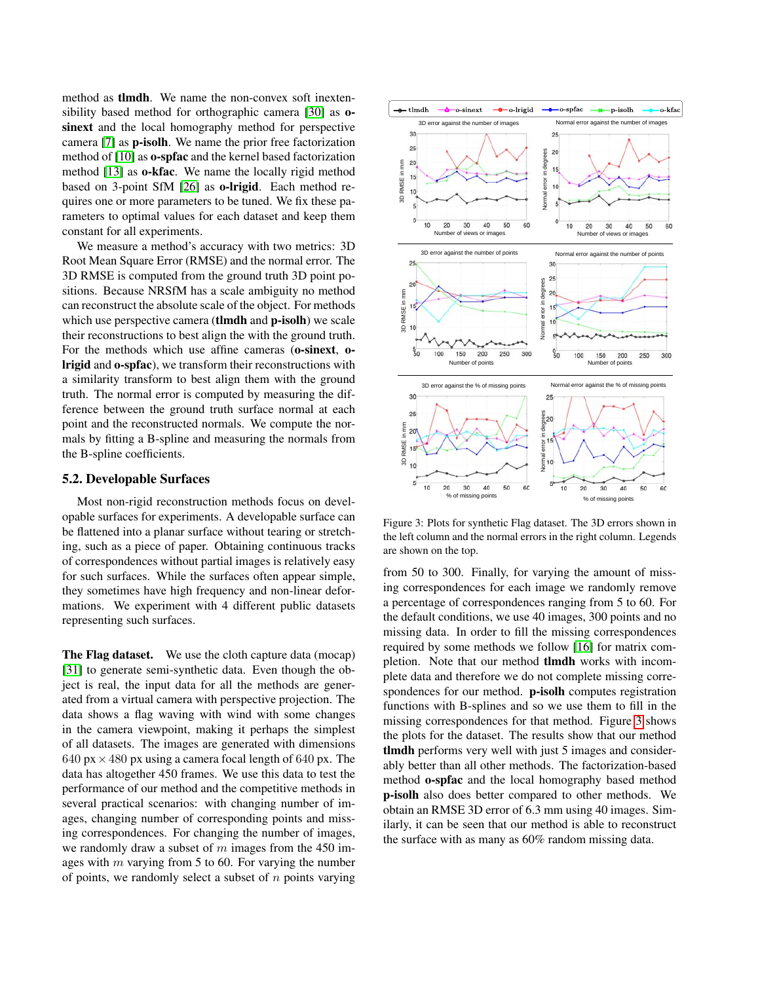method as tlmdh. We name the non-convex soft inextensibility based method for orthographic camera [\[30\]](#page-8-6) as osinext and the local homography method for perspective camera [\[7\]](#page-8-7) as p-isolh. We name the prior free factorization method of [\[10\]](#page-8-3) as o-spfac and the kernel based factorization method [\[13\]](#page-8-24) as o-kfac. We name the locally rigid method based on 3-point SfM [\[26\]](#page-8-5) as o-lrigid. Each method requires one or more parameters to be tuned. We fix these parameters to optimal values for each dataset and keep them constant for all experiments.

We measure a method's accuracy with two metrics: 3D Root Mean Square Error (RMSE) and the normal error. The 3D RMSE is computed from the ground truth 3D point positions. Because NRSfM has a scale ambiguity no method can reconstruct the absolute scale of the object. For methods which use perspective camera (tlmdh and p-isolh) we scale their reconstructions to best align the with the ground truth. For the methods which use affine cameras (o-sinext, olrigid and o-spfac), we transform their reconstructions with a similarity transform to best align them with the ground truth. The normal error is computed by measuring the difference between the ground truth surface normal at each point and the reconstructed normals. We compute the normals by fitting a B-spline and measuring the normals from the B-spline coefficients.

# 5.2. Developable Surfaces

Most non-rigid reconstruction methods focus on developable surfaces for experiments. A developable surface can be flattened into a planar surface without tearing or stretching, such as a piece of paper. Obtaining continuous tracks of correspondences without partial images is relatively easy for such surfaces. While the surfaces often appear simple, they sometimes have high frequency and non-linear deformations. We experiment with 4 different public datasets representing such surfaces.

The Flag dataset. We use the cloth capture data (mocap) [\[31\]](#page-8-25) to generate semi-synthetic data. Even though the object is real, the input data for all the methods are generated from a virtual camera with perspective projection. The data shows a flag waving with wind with some changes in the camera viewpoint, making it perhaps the simplest of all datasets. The images are generated with dimensions 640 px  $\times$  480 px using a camera focal length of 640 px. The data has altogether 450 frames. We use this data to test the performance of our method and the competitive methods in several practical scenarios: with changing number of images, changing number of corresponding points and missing correspondences. For changing the number of images, we randomly draw a subset of  $m$  images from the 450 images with  $m$  varying from 5 to 60. For varying the number of points, we randomly select a subset of  $n$  points varying

<span id="page-4-0"></span>

Figure 3: Plots for synthetic Flag dataset. The 3D errors shown in the left column and the normal errors in the right column. Legends are shown on the top.

from 50 to 300. Finally, for varying the amount of missing correspondences for each image we randomly remove a percentage of correspondences ranging from 5 to 60. For the default conditions, we use 40 images, 300 points and no missing data. In order to fill the missing correspondences required by some methods we follow [\[16\]](#page-8-26) for matrix completion. Note that our method tlmdh works with incomplete data and therefore we do not complete missing correspondences for our method. **p-isolh** computes registration functions with B-splines and so we use them to fill in the missing correspondences for that method. Figure [3](#page-4-0) shows the plots for the dataset. The results show that our method tlmdh performs very well with just 5 images and considerably better than all other methods. The factorization-based method o-spfac and the local homography based method p-isolh also does better compared to other methods. We obtain an RMSE 3D error of 6.3 mm using 40 images. Similarly, it can be seen that our method is able to reconstruct the surface with as many as 60% random missing data.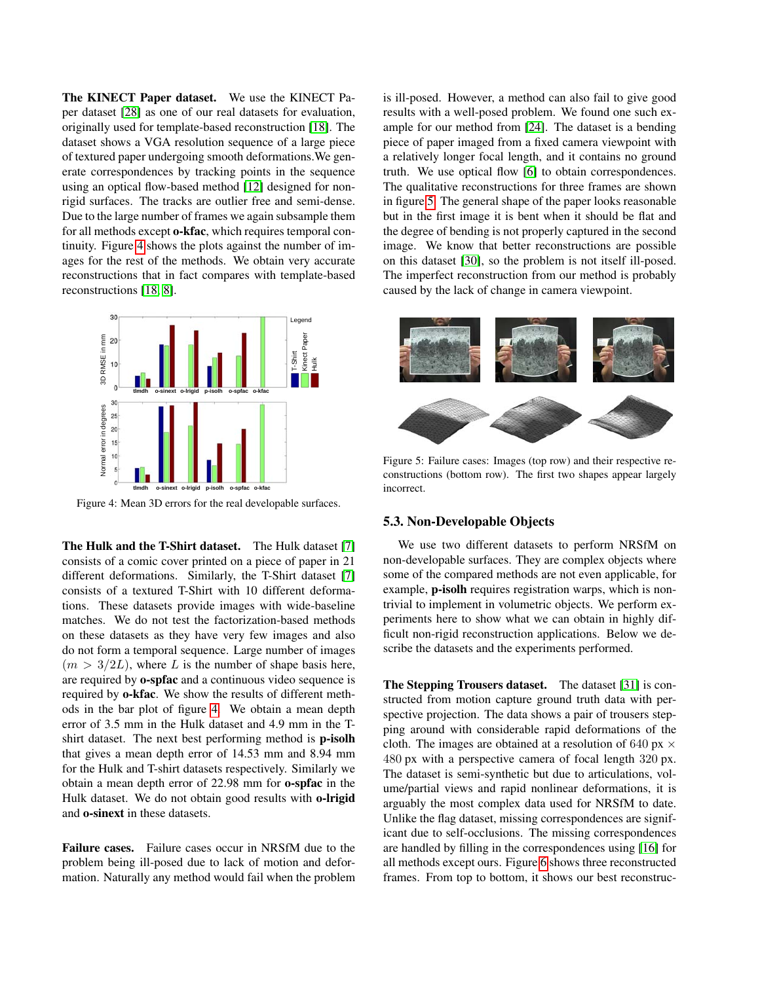The KINECT Paper dataset. We use the KINECT Paper dataset [\[28\]](#page-8-27) as one of our real datasets for evaluation, originally used for template-based reconstruction [\[18\]](#page-8-13). The dataset shows a VGA resolution sequence of a large piece of textured paper undergoing smooth deformations.We generate correspondences by tracking points in the sequence using an optical flow-based method [\[12\]](#page-8-4) designed for nonrigid surfaces. The tracks are outlier free and semi-dense. Due to the large number of frames we again subsample them for all methods except o-kfac, which requires temporal continuity. Figure [4](#page-5-0) shows the plots against the number of images for the rest of the methods. We obtain very accurate reconstructions that in fact compares with template-based reconstructions [\[18,](#page-8-13) [8\]](#page-8-14).

<span id="page-5-0"></span>

Figure 4: Mean 3D errors for the real developable surfaces.

The Hulk and the T-Shirt dataset. The Hulk dataset [\[7\]](#page-8-7) consists of a comic cover printed on a piece of paper in 21 different deformations. Similarly, the T-Shirt dataset [\[7\]](#page-8-7) consists of a textured T-Shirt with 10 different deformations. These datasets provide images with wide-baseline matches. We do not test the factorization-based methods on these datasets as they have very few images and also do not form a temporal sequence. Large number of images  $(m > 3/2L)$ , where L is the number of shape basis here, are required by o-spfac and a continuous video sequence is required by o-kfac. We show the results of different methods in the bar plot of figure [4.](#page-5-0) We obtain a mean depth error of 3.5 mm in the Hulk dataset and 4.9 mm in the Tshirt dataset. The next best performing method is p-isolh that gives a mean depth error of 14.53 mm and 8.94 mm for the Hulk and T-shirt datasets respectively. Similarly we obtain a mean depth error of 22.98 mm for o-spfac in the Hulk dataset. We do not obtain good results with o-lrigid and o-sinext in these datasets.

Failure cases. Failure cases occur in NRSfM due to the problem being ill-posed due to lack of motion and deformation. Naturally any method would fail when the problem is ill-posed. However, a method can also fail to give good results with a well-posed problem. We found one such example for our method from [\[24\]](#page-8-28). The dataset is a bending piece of paper imaged from a fixed camera viewpoint with a relatively longer focal length, and it contains no ground truth. We use optical flow [\[6\]](#page-8-29) to obtain correspondences. The qualitative reconstructions for three frames are shown in figure [5.](#page-5-1) The general shape of the paper looks reasonable but in the first image it is bent when it should be flat and the degree of bending is not properly captured in the second image. We know that better reconstructions are possible on this dataset [\[30\]](#page-8-6), so the problem is not itself ill-posed. The imperfect reconstruction from our method is probably caused by the lack of change in camera viewpoint.

<span id="page-5-1"></span>

Figure 5: Failure cases: Images (top row) and their respective reconstructions (bottom row). The first two shapes appear largely incorrect.

#### 5.3. Non-Developable Objects

We use two different datasets to perform NRSfM on non-developable surfaces. They are complex objects where some of the compared methods are not even applicable, for example, p-isolh requires registration warps, which is nontrivial to implement in volumetric objects. We perform experiments here to show what we can obtain in highly difficult non-rigid reconstruction applications. Below we describe the datasets and the experiments performed.

The Stepping Trousers dataset. The dataset [\[31\]](#page-8-25) is constructed from motion capture ground truth data with perspective projection. The data shows a pair of trousers stepping around with considerable rapid deformations of the cloth. The images are obtained at a resolution of 640 px  $\times$ 480 px with a perspective camera of focal length 320 px. The dataset is semi-synthetic but due to articulations, volume/partial views and rapid nonlinear deformations, it is arguably the most complex data used for NRSfM to date. Unlike the flag dataset, missing correspondences are significant due to self-occlusions. The missing correspondences are handled by filling in the correspondences using [\[16\]](#page-8-26) for all methods except ours. Figure [6](#page-6-0) shows three reconstructed frames. From top to bottom, it shows our best reconstruc-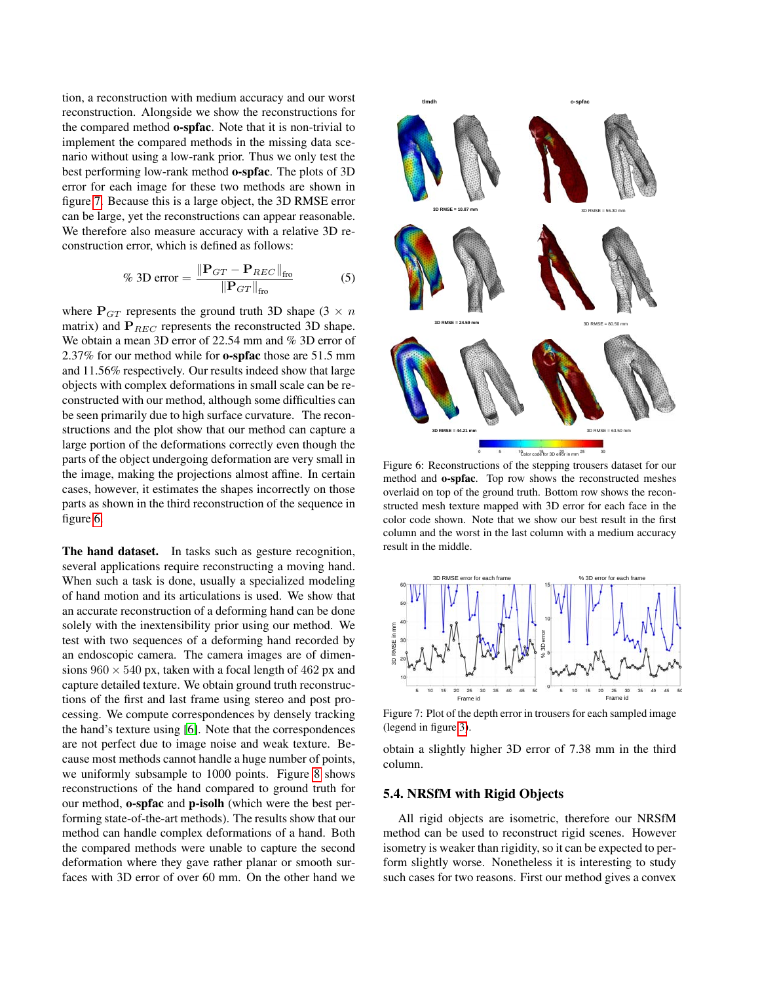tion, a reconstruction with medium accuracy and our worst reconstruction. Alongside we show the reconstructions for the compared method o-spfac. Note that it is non-trivial to implement the compared methods in the missing data scenario without using a low-rank prior. Thus we only test the best performing low-rank method o-spfac. The plots of 3D error for each image for these two methods are shown in figure [7.](#page-6-1) Because this is a large object, the 3D RMSE error can be large, yet the reconstructions can appear reasonable. We therefore also measure accuracy with a relative 3D reconstruction error, which is defined as follows:

% 3D error = 
$$
\frac{\|\mathbf{P}_{GT} - \mathbf{P}_{REC}\|_{\text{fro}}}{\|\mathbf{P}_{GT}\|_{\text{fro}}}
$$
 (5)

where  $P_{GT}$  represents the ground truth 3D shape (3  $\times n$ ) matrix) and  $P_{REC}$  represents the reconstructed 3D shape. We obtain a mean 3D error of 22.54 mm and % 3D error of 2.37% for our method while for o-spfac those are 51.5 mm and 11.56% respectively. Our results indeed show that large objects with complex deformations in small scale can be reconstructed with our method, although some difficulties can be seen primarily due to high surface curvature. The reconstructions and the plot show that our method can capture a large portion of the deformations correctly even though the parts of the object undergoing deformation are very small in the image, making the projections almost affine. In certain cases, however, it estimates the shapes incorrectly on those parts as shown in the third reconstruction of the sequence in figure [6.](#page-6-0)

The hand dataset. In tasks such as gesture recognition, several applications require reconstructing a moving hand. When such a task is done, usually a specialized modeling of hand motion and its articulations is used. We show that an accurate reconstruction of a deforming hand can be done solely with the inextensibility prior using our method. We test with two sequences of a deforming hand recorded by an endoscopic camera. The camera images are of dimensions  $960 \times 540$  px, taken with a focal length of 462 px and capture detailed texture. We obtain ground truth reconstructions of the first and last frame using stereo and post processing. We compute correspondences by densely tracking the hand's texture using [\[6\]](#page-8-29). Note that the correspondences are not perfect due to image noise and weak texture. Because most methods cannot handle a huge number of points, we uniformly subsample to 1000 points. Figure [8](#page-7-1) shows reconstructions of the hand compared to ground truth for our method, o-spfac and p-isolh (which were the best performing state-of-the-art methods). The results show that our method can handle complex deformations of a hand. Both the compared methods were unable to capture the second deformation where they gave rather planar or smooth surfaces with 3D error of over 60 mm. On the other hand we

<span id="page-6-0"></span>

Figure 6: Reconstructions of the stepping trousers dataset for our method and o-spfac. Top row shows the reconstructed meshes overlaid on top of the ground truth. Bottom row shows the reconstructed mesh texture mapped with 3D error for each face in the color code shown. Note that we show our best result in the first column and the worst in the last column with a medium accuracy result in the middle.

<span id="page-6-1"></span>

Figure 7: Plot of the depth error in trousers for each sampled image (legend in figure [3\)](#page-4-0).

obtain a slightly higher 3D error of 7.38 mm in the third column.

## 5.4. NRSfM with Rigid Objects

All rigid objects are isometric, therefore our NRSfM method can be used to reconstruct rigid scenes. However isometry is weaker than rigidity, so it can be expected to perform slightly worse. Nonetheless it is interesting to study such cases for two reasons. First our method gives a convex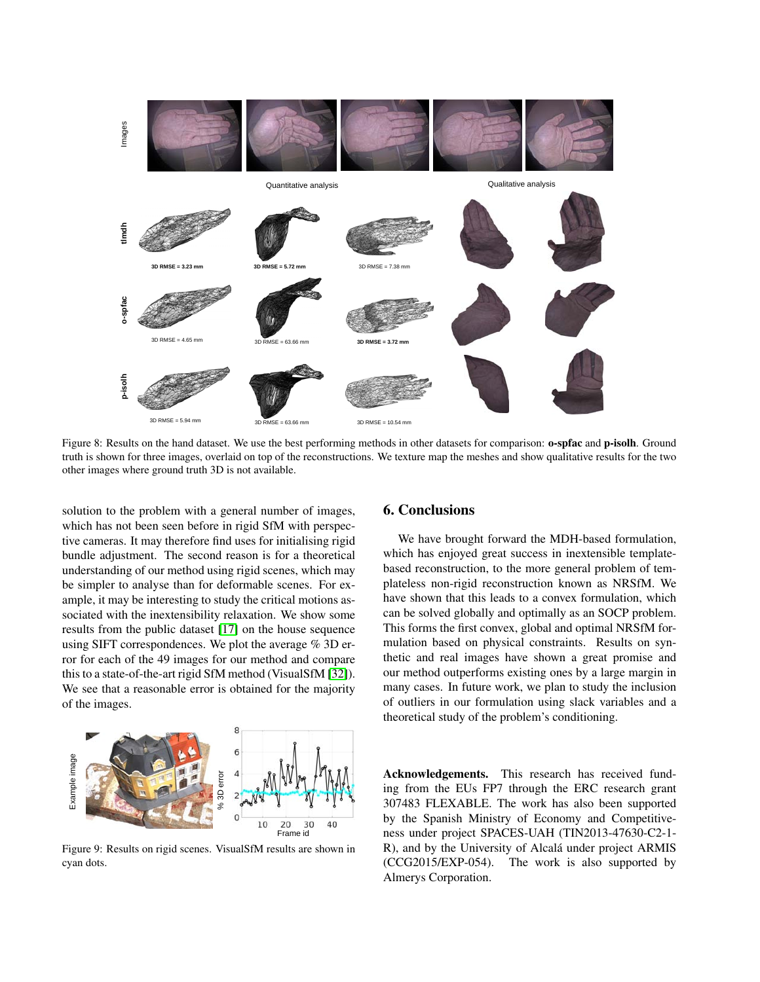<span id="page-7-1"></span>

Figure 8: Results on the hand dataset. We use the best performing methods in other datasets for comparison: **o-spfac** and **p-isolh**. Ground truth is shown for three images, overlaid on top of the reconstructions. We texture map the meshes and show qualitative results for the two other images where ground truth 3D is not available.

solution to the problem with a general number of images, which has not been seen before in rigid SfM with perspective cameras. It may therefore find uses for initialising rigid bundle adjustment. The second reason is for a theoretical understanding of our method using rigid scenes, which may be simpler to analyse than for deformable scenes. For example, it may be interesting to study the critical motions associated with the inextensibility relaxation. We show some results from the public dataset [\[17\]](#page-8-30) on the house sequence using SIFT correspondences. We plot the average % 3D error for each of the 49 images for our method and compare this to a state-of-the-art rigid SfM method (VisualSfM [\[32\]](#page-8-31)). We see that a reasonable error is obtained for the majority of the images.



Figure 9: Results on rigid scenes. VisualSfM results are shown in cyan dots.

# <span id="page-7-0"></span>6. Conclusions

We have brought forward the MDH-based formulation, which has enjoyed great success in inextensible templatebased reconstruction, to the more general problem of templateless non-rigid reconstruction known as NRSfM. We have shown that this leads to a convex formulation, which can be solved globally and optimally as an SOCP problem. This forms the first convex, global and optimal NRSfM formulation based on physical constraints. Results on synthetic and real images have shown a great promise and our method outperforms existing ones by a large margin in many cases. In future work, we plan to study the inclusion of outliers in our formulation using slack variables and a theoretical study of the problem's conditioning.

Acknowledgements. This research has received funding from the EUs FP7 through the ERC research grant 307483 FLEXABLE. The work has also been supported by the Spanish Ministry of Economy and Competitiveness under project SPACES-UAH (TIN2013-47630-C2-1- R), and by the University of Alcalá under project ARMIS (CCG2015/EXP-054). The work is also supported by Almerys Corporation.